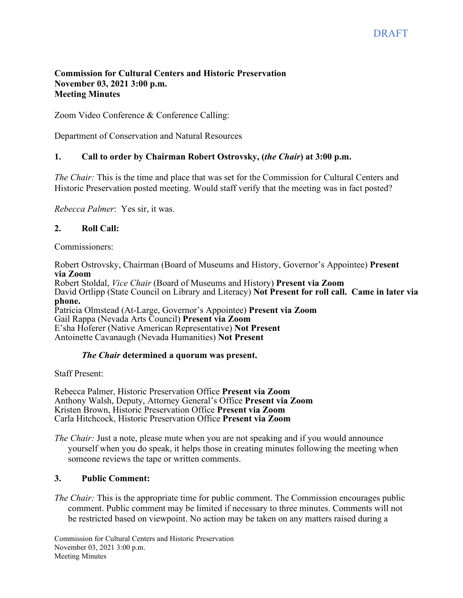### **Commission for Cultural Centers and Historic Preservation November 03, 2021 3:00 p.m. Meeting Minutes**

Zoom Video Conference & Conference Calling:

Department of Conservation and Natural Resources

## **1. Call to order by Chairman Robert Ostrovsky, (***the Chair***) at 3:00 p.m.**

*The Chair:* This is the time and place that was set for the Commission for Cultural Centers and Historic Preservation posted meeting. Would staff verify that the meeting was in fact posted?

*Rebecca Palmer*: Yes sir, it was.

## **2. Roll Call:**

Commissioners:

Robert Ostrovsky, Chairman (Board of Museums and History, Governor's Appointee) **Present via Zoom**

Robert Stoldal, *Vice Chair* (Board of Museums and History) **Present via Zoom** David Ortlipp (State Council on Library and Literacy) **Not Present for roll call. Came in later via phone.**  Patricia Olmstead (At-Large, Governor's Appointee) **Present via Zoom** Gail Rappa (Nevada Arts Council) **Present via Zoom** E'sha Hoferer (Native American Representative) **Not Present**

Antoinette Cavanaugh (Nevada Humanities) **Not Present**

## *The Chair* **determined a quorum was present.**

Staff Present:

Rebecca Palmer, Historic Preservation Office **Present via Zoom** Anthony Walsh, Deputy, Attorney General's Office **Present via Zoom** Kristen Brown, Historic Preservation Office **Present via Zoom** Carla Hitchcock, Historic Preservation Office **Present via Zoom**

*The Chair:* Just a note, please mute when you are not speaking and if you would announce yourself when you do speak, it helps those in creating minutes following the meeting when someone reviews the tape or written comments.

#### **3. Public Comment:**

*The Chair:* This is the appropriate time for public comment. The Commission encourages public comment. Public comment may be limited if necessary to three minutes. Comments will not be restricted based on viewpoint. No action may be taken on any matters raised during a

Commission for Cultural Centers and Historic Preservation November 03, 2021 3:00 p.m. Meeting Minutes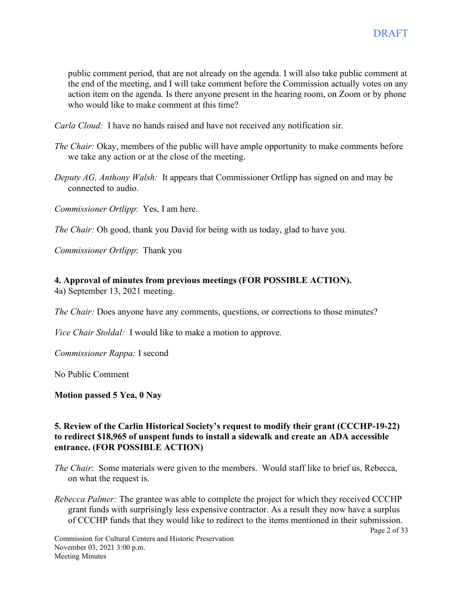public comment period, that are not already on the agenda. I will also take public comment at the end of the meeting, and I will take comment before the Commission actually votes on any action item on the agenda. Is there anyone present in the hearing room, on Zoom or by phone who would like to make comment at this time?

*Carla Cloud:* I have no hands raised and have not received any notification sir.

- *The Chair:* Okay, members of the public will have ample opportunity to make comments before we take any action or at the close of the meeting.
- *Deputy AG, Anthony Walsh:* It appears that Commissioner Ortlipp has signed on and may be connected to audio.

*Commissioner Ortlipp*: Yes, I am here.

*The Chair:* Oh good, thank you David for being with us today, glad to have you.

*Commissioner Ortlipp*: Thank you

# **4. Approval of minutes from previous meetings (FOR POSSIBLE ACTION).**

4a) September 13, 2021 meeting.

*The Chair:* Does anyone have any comments, questions, or corrections to those minutes?

*Vice Chair Stoldal:* I would like to make a motion to approve.

*Commissioner Rappa:* I second

No Public Comment

#### **Motion passed 5 Yea, 0 Nay**

### **5. Review of the Carlin Historical Society's request to modify their grant (CCCHP-19-22) to redirect \$18,965 of unspent funds to install a sidewalk and create an ADA accessible entrance. (FOR POSSIBLE ACTION)**

- *The Chair*: Some materials were given to the members. Would staff like to brief us, Rebecca, on what the request is.
- *Rebecca Palmer:* The grantee was able to complete the project for which they received CCCHP grant funds with surprisingly less expensive contractor. As a result they now have a surplus of CCCHP funds that they would like to redirect to the items mentioned in their submission.

Page 2 of 33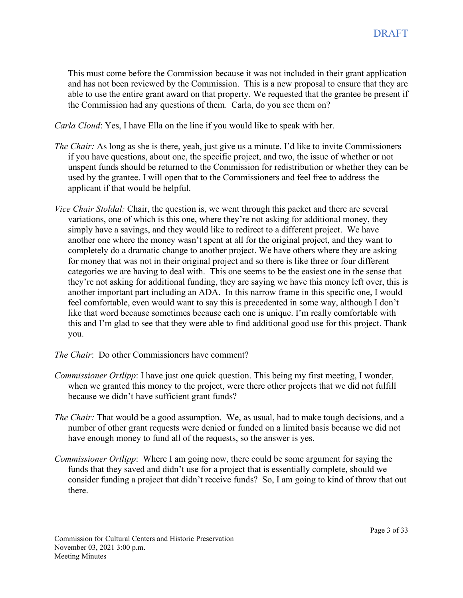This must come before the Commission because it was not included in their grant application and has not been reviewed by the Commission. This is a new proposal to ensure that they are able to use the entire grant award on that property. We requested that the grantee be present if the Commission had any questions of them. Carla, do you see them on?

*Carla Cloud*: Yes, I have Ella on the line if you would like to speak with her.

- *The Chair:* As long as she is there, yeah, just give us a minute. I'd like to invite Commissioners if you have questions, about one, the specific project, and two, the issue of whether or not unspent funds should be returned to the Commission for redistribution or whether they can be used by the grantee. I will open that to the Commissioners and feel free to address the applicant if that would be helpful.
- *Vice Chair Stoldal:* Chair, the question is, we went through this packet and there are several variations, one of which is this one, where they're not asking for additional money, they simply have a savings, and they would like to redirect to a different project. We have another one where the money wasn't spent at all for the original project, and they want to completely do a dramatic change to another project. We have others where they are asking for money that was not in their original project and so there is like three or four different categories we are having to deal with. This one seems to be the easiest one in the sense that they're not asking for additional funding, they are saying we have this money left over, this is another important part including an ADA. In this narrow frame in this specific one, I would feel comfortable, even would want to say this is precedented in some way, although I don't like that word because sometimes because each one is unique. I'm really comfortable with this and I'm glad to see that they were able to find additional good use for this project. Thank you.
- *The Chair*: Do other Commissioners have comment?
- *Commissioner Ortlipp*: I have just one quick question. This being my first meeting, I wonder, when we granted this money to the project, were there other projects that we did not fulfill because we didn't have sufficient grant funds?
- *The Chair:* That would be a good assumption. We, as usual, had to make tough decisions, and a number of other grant requests were denied or funded on a limited basis because we did not have enough money to fund all of the requests, so the answer is yes.
- *Commissioner Ortlipp*: Where I am going now, there could be some argument for saying the funds that they saved and didn't use for a project that is essentially complete, should we consider funding a project that didn't receive funds? So, I am going to kind of throw that out there.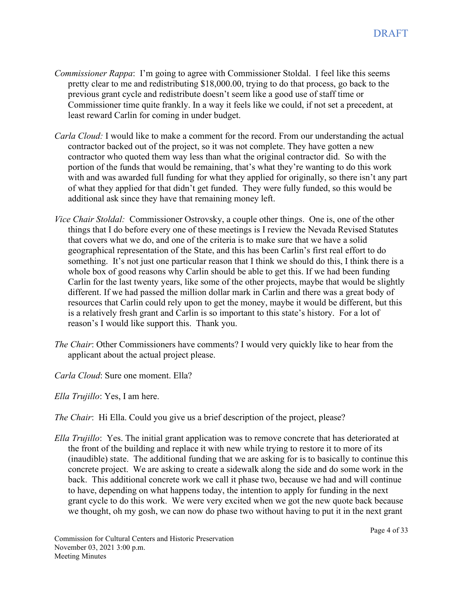- *Commissioner Rappa*: I'm going to agree with Commissioner Stoldal. I feel like this seems pretty clear to me and redistributing \$18,000.00, trying to do that process, go back to the previous grant cycle and redistribute doesn't seem like a good use of staff time or Commissioner time quite frankly. In a way it feels like we could, if not set a precedent, at least reward Carlin for coming in under budget.
- *Carla Cloud:* I would like to make a comment for the record. From our understanding the actual contractor backed out of the project, so it was not complete. They have gotten a new contractor who quoted them way less than what the original contractor did. So with the portion of the funds that would be remaining, that's what they're wanting to do this work with and was awarded full funding for what they applied for originally, so there isn't any part of what they applied for that didn't get funded. They were fully funded, so this would be additional ask since they have that remaining money left.
- *Vice Chair Stoldal:* Commissioner Ostrovsky, a couple other things. One is, one of the other things that I do before every one of these meetings is I review the Nevada Revised Statutes that covers what we do, and one of the criteria is to make sure that we have a solid geographical representation of the State, and this has been Carlin's first real effort to do something. It's not just one particular reason that I think we should do this, I think there is a whole box of good reasons why Carlin should be able to get this. If we had been funding Carlin for the last twenty years, like some of the other projects, maybe that would be slightly different. If we had passed the million dollar mark in Carlin and there was a great body of resources that Carlin could rely upon to get the money, maybe it would be different, but this is a relatively fresh grant and Carlin is so important to this state's history. For a lot of reason's I would like support this. Thank you.
- *The Chair*: Other Commissioners have comments? I would very quickly like to hear from the applicant about the actual project please.
- *Carla Cloud*: Sure one moment. Ella?
- *Ella Trujillo*: Yes, I am here.
- *The Chair*: Hi Ella. Could you give us a brief description of the project, please?
- *Ella Trujillo*: Yes. The initial grant application was to remove concrete that has deteriorated at the front of the building and replace it with new while trying to restore it to more of its (inaudible) state. The additional funding that we are asking for is to basically to continue this concrete project. We are asking to create a sidewalk along the side and do some work in the back. This additional concrete work we call it phase two, because we had and will continue to have, depending on what happens today, the intention to apply for funding in the next grant cycle to do this work. We were very excited when we got the new quote back because we thought, oh my gosh, we can now do phase two without having to put it in the next grant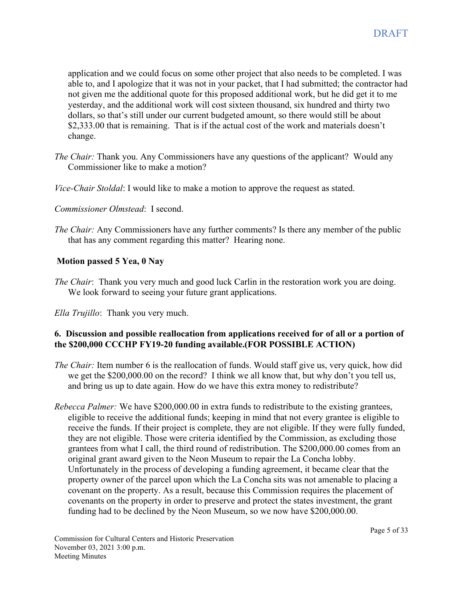application and we could focus on some other project that also needs to be completed. I was able to, and I apologize that it was not in your packet, that I had submitted; the contractor had not given me the additional quote for this proposed additional work, but he did get it to me yesterday, and the additional work will cost sixteen thousand, six hundred and thirty two dollars, so that's still under our current budgeted amount, so there would still be about \$2,333.00 that is remaining. That is if the actual cost of the work and materials doesn't change.

- *The Chair:* Thank you. Any Commissioners have any questions of the applicant? Would any Commissioner like to make a motion?
- *Vice-Chair Stoldal*: I would like to make a motion to approve the request as stated.
- *Commissioner Olmstead*: I second.
- *The Chair:* Any Commissioners have any further comments? Is there any member of the public that has any comment regarding this matter? Hearing none.

## **Motion passed 5 Yea, 0 Nay**

*The Chair*: Thank you very much and good luck Carlin in the restoration work you are doing. We look forward to seeing your future grant applications.

*Ella Trujillo*: Thank you very much.

### **6. Discussion and possible reallocation from applications received for of all or a portion of the \$200,000 CCCHP FY19-20 funding available.(FOR POSSIBLE ACTION)**

- *The Chair:* Item number 6 is the reallocation of funds. Would staff give us, very quick, how did we get the \$200,000.00 on the record? I think we all know that, but why don't you tell us, and bring us up to date again. How do we have this extra money to redistribute?
- *Rebecca Palmer:* We have \$200,000.00 in extra funds to redistribute to the existing grantees, eligible to receive the additional funds; keeping in mind that not every grantee is eligible to receive the funds. If their project is complete, they are not eligible. If they were fully funded, they are not eligible. Those were criteria identified by the Commission, as excluding those grantees from what I call, the third round of redistribution. The \$200,000.00 comes from an original grant award given to the Neon Museum to repair the La Concha lobby. Unfortunately in the process of developing a funding agreement, it became clear that the property owner of the parcel upon which the La Concha sits was not amenable to placing a covenant on the property. As a result, because this Commission requires the placement of covenants on the property in order to preserve and protect the states investment, the grant funding had to be declined by the Neon Museum, so we now have \$200,000.00.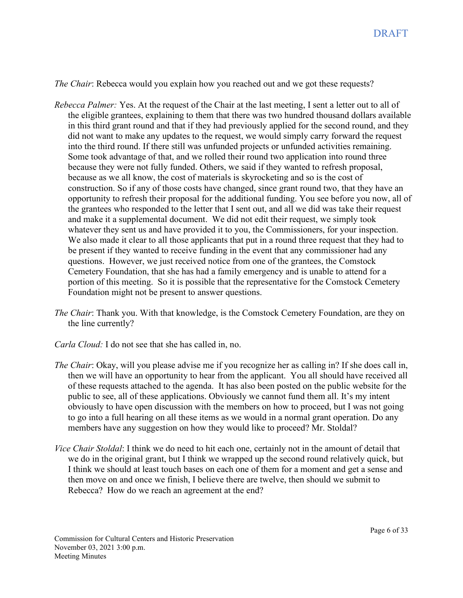*The Chair*: Rebecca would you explain how you reached out and we got these requests?

- *Rebecca Palmer:* Yes. At the request of the Chair at the last meeting, I sent a letter out to all of the eligible grantees, explaining to them that there was two hundred thousand dollars available in this third grant round and that if they had previously applied for the second round, and they did not want to make any updates to the request, we would simply carry forward the request into the third round. If there still was unfunded projects or unfunded activities remaining. Some took advantage of that, and we rolled their round two application into round three because they were not fully funded. Others, we said if they wanted to refresh proposal, because as we all know, the cost of materials is skyrocketing and so is the cost of construction. So if any of those costs have changed, since grant round two, that they have an opportunity to refresh their proposal for the additional funding. You see before you now, all of the grantees who responded to the letter that I sent out, and all we did was take their request and make it a supplemental document. We did not edit their request, we simply took whatever they sent us and have provided it to you, the Commissioners, for your inspection. We also made it clear to all those applicants that put in a round three request that they had to be present if they wanted to receive funding in the event that any commissioner had any questions. However, we just received notice from one of the grantees, the Comstock Cemetery Foundation, that she has had a family emergency and is unable to attend for a portion of this meeting. So it is possible that the representative for the Comstock Cemetery Foundation might not be present to answer questions.
- *The Chair*: Thank you. With that knowledge, is the Comstock Cemetery Foundation, are they on the line currently?
- *Carla Cloud:* I do not see that she has called in, no.
- *The Chair*: Okay, will you please advise me if you recognize her as calling in? If she does call in, then we will have an opportunity to hear from the applicant. You all should have received all of these requests attached to the agenda. It has also been posted on the public website for the public to see, all of these applications. Obviously we cannot fund them all. It's my intent obviously to have open discussion with the members on how to proceed, but I was not going to go into a full hearing on all these items as we would in a normal grant operation. Do any members have any suggestion on how they would like to proceed? Mr. Stoldal?
- *Vice Chair Stoldal*: I think we do need to hit each one, certainly not in the amount of detail that we do in the original grant, but I think we wrapped up the second round relatively quick, but I think we should at least touch bases on each one of them for a moment and get a sense and then move on and once we finish, I believe there are twelve, then should we submit to Rebecca? How do we reach an agreement at the end?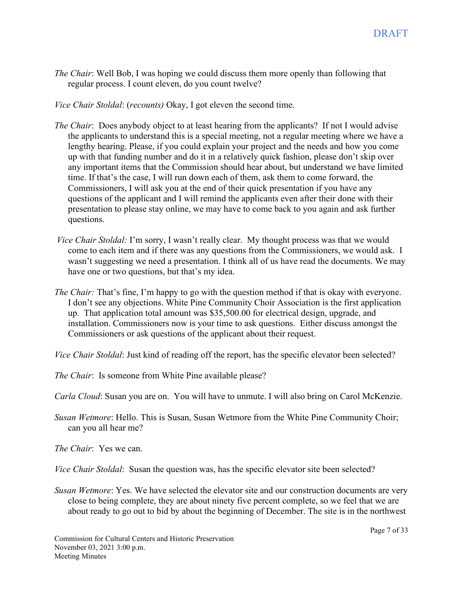*The Chair*: Well Bob, I was hoping we could discuss them more openly than following that regular process. I count eleven, do you count twelve?

*Vice Chair Stoldal*: (*recounts)* Okay, I got eleven the second time.

- *The Chair*: Does anybody object to at least hearing from the applicants? If not I would advise the applicants to understand this is a special meeting, not a regular meeting where we have a lengthy hearing. Please, if you could explain your project and the needs and how you come up with that funding number and do it in a relatively quick fashion, please don't skip over any important items that the Commission should hear about, but understand we have limited time. If that's the case, I will run down each of them, ask them to come forward, the Commissioners, I will ask you at the end of their quick presentation if you have any questions of the applicant and I will remind the applicants even after their done with their presentation to please stay online, we may have to come back to you again and ask further questions.
- *Vice Chair Stoldal:* I'm sorry, I wasn't really clear. My thought process was that we would come to each item and if there was any questions from the Commissioners, we would ask. I wasn't suggesting we need a presentation. I think all of us have read the documents. We may have one or two questions, but that's my idea.
- *The Chair:* That's fine, I'm happy to go with the question method if that is okay with everyone. I don't see any objections. White Pine Community Choir Association is the first application up. That application total amount was \$35,500.00 for electrical design, upgrade, and installation. Commissioners now is your time to ask questions. Either discuss amongst the Commissioners or ask questions of the applicant about their request.
- *Vice Chair Stoldal*: Just kind of reading off the report, has the specific elevator been selected?

*The Chair*: Is someone from White Pine available please?

*Carla Cloud*: Susan you are on. You will have to unmute. I will also bring on Carol McKenzie.

*Susan Wetmore*: Hello. This is Susan, Susan Wetmore from the White Pine Community Choir; can you all hear me?

*The Chair*: Yes we can.

*Vice Chair Stoldal*: Susan the question was, has the specific elevator site been selected?

*Susan Wetmore*: Yes. We have selected the elevator site and our construction documents are very close to being complete, they are about ninety five percent complete, so we feel that we are about ready to go out to bid by about the beginning of December. The site is in the northwest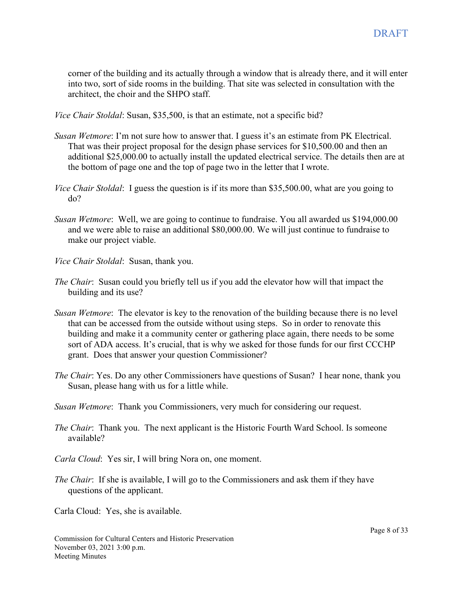corner of the building and its actually through a window that is already there, and it will enter into two, sort of side rooms in the building. That site was selected in consultation with the architect, the choir and the SHPO staff.

*Vice Chair Stoldal*: Susan, \$35,500, is that an estimate, not a specific bid?

- *Susan Wetmore*: I'm not sure how to answer that. I guess it's an estimate from PK Electrical. That was their project proposal for the design phase services for \$10,500.00 and then an additional \$25,000.00 to actually install the updated electrical service. The details then are at the bottom of page one and the top of page two in the letter that I wrote.
- *Vice Chair Stoldal*: I guess the question is if its more than \$35,500.00, what are you going to do?
- *Susan Wetmore*: Well, we are going to continue to fundraise. You all awarded us \$194,000.00 and we were able to raise an additional \$80,000.00. We will just continue to fundraise to make our project viable.
- *Vice Chair Stoldal*: Susan, thank you.
- *The Chair*: Susan could you briefly tell us if you add the elevator how will that impact the building and its use?
- *Susan Wetmore*: The elevator is key to the renovation of the building because there is no level that can be accessed from the outside without using steps. So in order to renovate this building and make it a community center or gathering place again, there needs to be some sort of ADA access. It's crucial, that is why we asked for those funds for our first CCCHP grant. Does that answer your question Commissioner?
- *The Chair*: Yes. Do any other Commissioners have questions of Susan? I hear none, thank you Susan, please hang with us for a little while.
- *Susan Wetmore*: Thank you Commissioners, very much for considering our request.
- *The Chair*: Thank you. The next applicant is the Historic Fourth Ward School. Is someone available?
- *Carla Cloud*: Yes sir, I will bring Nora on, one moment.
- *The Chair*: If she is available, I will go to the Commissioners and ask them if they have questions of the applicant.

Carla Cloud: Yes, she is available.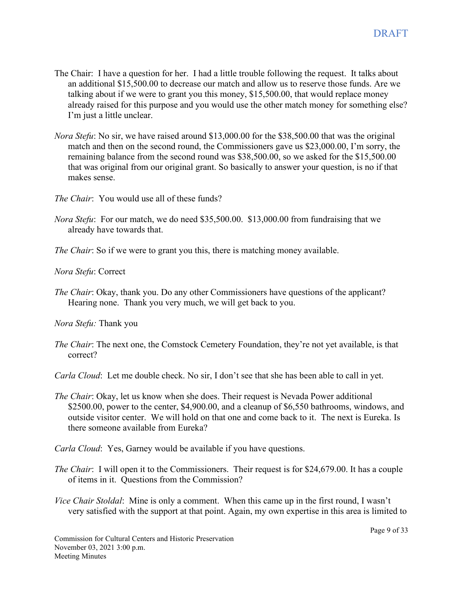- The Chair: I have a question for her. I had a little trouble following the request. It talks about an additional \$15,500.00 to decrease our match and allow us to reserve those funds. Are we talking about if we were to grant you this money, \$15,500.00, that would replace money already raised for this purpose and you would use the other match money for something else? I'm just a little unclear.
- *Nora Stefu*: No sir, we have raised around \$13,000.00 for the \$38,500.00 that was the original match and then on the second round, the Commissioners gave us \$23,000.00, I'm sorry, the remaining balance from the second round was \$38,500.00, so we asked for the \$15,500.00 that was original from our original grant. So basically to answer your question, is no if that makes sense.
- *The Chair*: You would use all of these funds?
- *Nora Stefu*: For our match, we do need \$35,500.00. \$13,000.00 from fundraising that we already have towards that.
- *The Chair*: So if we were to grant you this, there is matching money available.
- *Nora Stefu*: Correct
- *The Chair*: Okay, thank you. Do any other Commissioners have questions of the applicant? Hearing none. Thank you very much, we will get back to you.

*Nora Stefu:* Thank you

- *The Chair*: The next one, the Comstock Cemetery Foundation, they're not yet available, is that correct?
- *Carla Cloud*: Let me double check. No sir, I don't see that she has been able to call in yet.
- *The Chair*: Okay, let us know when she does. Their request is Nevada Power additional \$2500.00, power to the center, \$4,900.00, and a cleanup of \$6,550 bathrooms, windows, and outside visitor center. We will hold on that one and come back to it. The next is Eureka. Is there someone available from Eureka?

*Carla Cloud*: Yes, Garney would be available if you have questions.

- *The Chair*: I will open it to the Commissioners. Their request is for \$24,679.00. It has a couple of items in it. Questions from the Commission?
- *Vice Chair Stoldal*: Mine is only a comment. When this came up in the first round, I wasn't very satisfied with the support at that point. Again, my own expertise in this area is limited to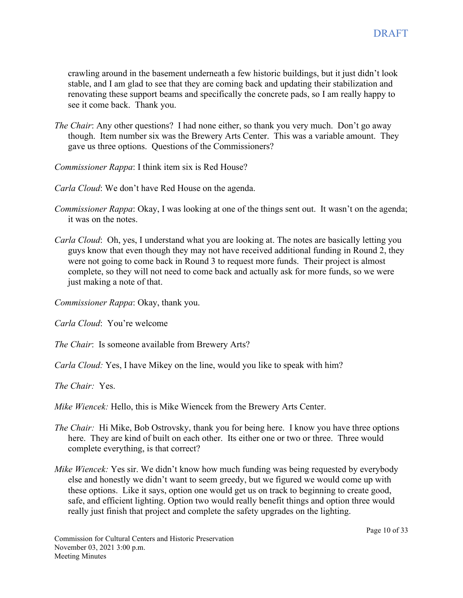crawling around in the basement underneath a few historic buildings, but it just didn't look stable, and I am glad to see that they are coming back and updating their stabilization and renovating these support beams and specifically the concrete pads, so I am really happy to see it come back. Thank you.

- *The Chair*: Any other questions? I had none either, so thank you very much. Don't go away though. Item number six was the Brewery Arts Center. This was a variable amount. They gave us three options. Questions of the Commissioners?
- *Commissioner Rappa*: I think item six is Red House?
- *Carla Cloud*: We don't have Red House on the agenda.
- *Commissioner Rappa*: Okay, I was looking at one of the things sent out. It wasn't on the agenda; it was on the notes.
- *Carla Cloud*: Oh, yes, I understand what you are looking at. The notes are basically letting you guys know that even though they may not have received additional funding in Round 2, they were not going to come back in Round 3 to request more funds. Their project is almost complete, so they will not need to come back and actually ask for more funds, so we were just making a note of that.

*Commissioner Rappa*: Okay, thank you.

*Carla Cloud*: You're welcome

*The Chair*: Is someone available from Brewery Arts?

*Carla Cloud:* Yes, I have Mikey on the line, would you like to speak with him?

*The Chair:* Yes.

*Mike Wiencek:* Hello, this is Mike Wiencek from the Brewery Arts Center.

- *The Chair:* Hi Mike, Bob Ostrovsky, thank you for being here. I know you have three options here. They are kind of built on each other. Its either one or two or three. Three would complete everything, is that correct?
- *Mike Wiencek:* Yes sir. We didn't know how much funding was being requested by everybody else and honestly we didn't want to seem greedy, but we figured we would come up with these options. Like it says, option one would get us on track to beginning to create good, safe, and efficient lighting. Option two would really benefit things and option three would really just finish that project and complete the safety upgrades on the lighting.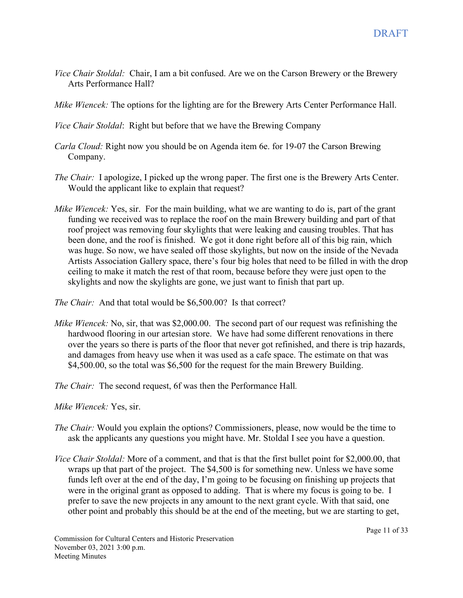- *Vice Chair Stoldal:* Chair, I am a bit confused. Are we on the Carson Brewery or the Brewery Arts Performance Hall?
- *Mike Wiencek:* The options for the lighting are for the Brewery Arts Center Performance Hall.

*Vice Chair Stoldal*: Right but before that we have the Brewing Company

- *Carla Cloud:* Right now you should be on Agenda item 6e. for 19-07 the Carson Brewing Company.
- *The Chair:* I apologize, I picked up the wrong paper. The first one is the Brewery Arts Center. Would the applicant like to explain that request?
- *Mike Wiencek:* Yes, sir. For the main building, what we are wanting to do is, part of the grant funding we received was to replace the roof on the main Brewery building and part of that roof project was removing four skylights that were leaking and causing troubles. That has been done, and the roof is finished. We got it done right before all of this big rain, which was huge. So now, we have sealed off those skylights, but now on the inside of the Nevada Artists Association Gallery space, there's four big holes that need to be filled in with the drop ceiling to make it match the rest of that room, because before they were just open to the skylights and now the skylights are gone, we just want to finish that part up.

*The Chair:* And that total would be \$6,500.00? Is that correct?

*Mike Wiencek:* No, sir, that was \$2,000.00. The second part of our request was refinishing the hardwood flooring in our artesian store. We have had some different renovations in there over the years so there is parts of the floor that never got refinished, and there is trip hazards, and damages from heavy use when it was used as a cafe space. The estimate on that was \$4,500.00, so the total was \$6,500 for the request for the main Brewery Building.

*The Chair:* The second request, 6f was then the Performance Hall*.* 

*Mike Wiencek:* Yes, sir.

- *The Chair:* Would you explain the options? Commissioners, please, now would be the time to ask the applicants any questions you might have. Mr. Stoldal I see you have a question.
- *Vice Chair Stoldal:* More of a comment, and that is that the first bullet point for \$2,000.00, that wraps up that part of the project. The \$4,500 is for something new. Unless we have some funds left over at the end of the day, I'm going to be focusing on finishing up projects that were in the original grant as opposed to adding. That is where my focus is going to be. I prefer to save the new projects in any amount to the next grant cycle. With that said, one other point and probably this should be at the end of the meeting, but we are starting to get,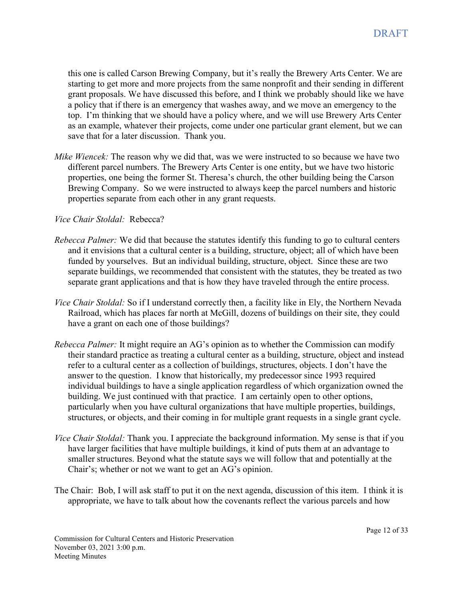this one is called Carson Brewing Company, but it's really the Brewery Arts Center. We are starting to get more and more projects from the same nonprofit and their sending in different grant proposals. We have discussed this before, and I think we probably should like we have a policy that if there is an emergency that washes away, and we move an emergency to the top. I'm thinking that we should have a policy where, and we will use Brewery Arts Center as an example, whatever their projects, come under one particular grant element, but we can save that for a later discussion. Thank you.

*Mike Wiencek:* The reason why we did that, was we were instructed to so because we have two different parcel numbers. The Brewery Arts Center is one entity, but we have two historic properties, one being the former St. Theresa's church, the other building being the Carson Brewing Company. So we were instructed to always keep the parcel numbers and historic properties separate from each other in any grant requests.

#### *Vice Chair Stoldal:* Rebecca?

- *Rebecca Palmer:* We did that because the statutes identify this funding to go to cultural centers and it envisions that a cultural center is a building, structure, object; all of which have been funded by yourselves. But an individual building, structure, object. Since these are two separate buildings, we recommended that consistent with the statutes, they be treated as two separate grant applications and that is how they have traveled through the entire process.
- *Vice Chair Stoldal:* So if I understand correctly then, a facility like in Ely, the Northern Nevada Railroad, which has places far north at McGill, dozens of buildings on their site, they could have a grant on each one of those buildings?
- *Rebecca Palmer:* It might require an AG's opinion as to whether the Commission can modify their standard practice as treating a cultural center as a building, structure, object and instead refer to a cultural center as a collection of buildings, structures, objects. I don't have the answer to the question. I know that historically, my predecessor since 1993 required individual buildings to have a single application regardless of which organization owned the building. We just continued with that practice. I am certainly open to other options, particularly when you have cultural organizations that have multiple properties, buildings, structures, or objects, and their coming in for multiple grant requests in a single grant cycle.
- *Vice Chair Stoldal:* Thank you. I appreciate the background information. My sense is that if you have larger facilities that have multiple buildings, it kind of puts them at an advantage to smaller structures. Beyond what the statute says we will follow that and potentially at the Chair's; whether or not we want to get an AG's opinion.
- The Chair: Bob, I will ask staff to put it on the next agenda, discussion of this item. I think it is appropriate, we have to talk about how the covenants reflect the various parcels and how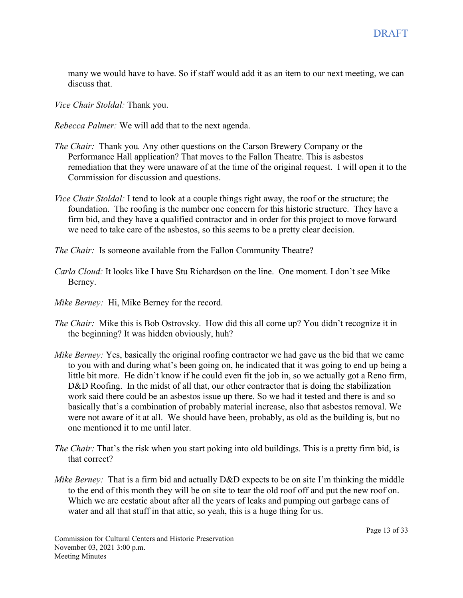many we would have to have. So if staff would add it as an item to our next meeting, we can discuss that.

*Vice Chair Stoldal:* Thank you.

*Rebecca Palmer:* We will add that to the next agenda.

- *The Chair:* Thank you*.* Any other questions on the Carson Brewery Company or the Performance Hall application? That moves to the Fallon Theatre. This is asbestos remediation that they were unaware of at the time of the original request. I will open it to the Commission for discussion and questions.
- *Vice Chair Stoldal:* I tend to look at a couple things right away, the roof or the structure; the foundation. The roofing is the number one concern for this historic structure. They have a firm bid, and they have a qualified contractor and in order for this project to move forward we need to take care of the asbestos, so this seems to be a pretty clear decision.

*The Chair:* Is someone available from the Fallon Community Theatre?

- *Carla Cloud:* It looks like I have Stu Richardson on the line. One moment. I don't see Mike Berney.
- *Mike Berney:* Hi, Mike Berney for the record.
- *The Chair:* Mike this is Bob Ostrovsky. How did this all come up? You didn't recognize it in the beginning? It was hidden obviously, huh?
- *Mike Berney:* Yes, basically the original roofing contractor we had gave us the bid that we came to you with and during what's been going on, he indicated that it was going to end up being a little bit more. He didn't know if he could even fit the job in, so we actually got a Reno firm, D&D Roofing. In the midst of all that, our other contractor that is doing the stabilization work said there could be an asbestos issue up there. So we had it tested and there is and so basically that's a combination of probably material increase, also that asbestos removal. We were not aware of it at all. We should have been, probably, as old as the building is, but no one mentioned it to me until later.
- *The Chair:* That's the risk when you start poking into old buildings. This is a pretty firm bid, is that correct?
- *Mike Berney:* That is a firm bid and actually D&D expects to be on site I'm thinking the middle to the end of this month they will be on site to tear the old roof off and put the new roof on. Which we are ecstatic about after all the years of leaks and pumping out garbage cans of water and all that stuff in that attic, so yeah, this is a huge thing for us.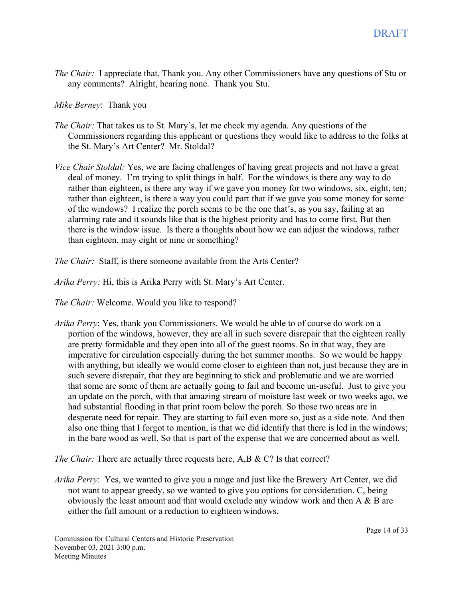*The Chair:* I appreciate that. Thank you. Any other Commissioners have any questions of Stu or any comments? Alright, hearing none. Thank you Stu.

*Mike Berney*: Thank you

- *The Chair:* That takes us to St. Mary's, let me check my agenda. Any questions of the Commissioners regarding this applicant or questions they would like to address to the folks at the St. Mary's Art Center? Mr. Stoldal?
- *Vice Chair Stoldal:* Yes, we are facing challenges of having great projects and not have a great deal of money. I'm trying to split things in half. For the windows is there any way to do rather than eighteen, is there any way if we gave you money for two windows, six, eight, ten; rather than eighteen, is there a way you could part that if we gave you some money for some of the windows? I realize the porch seems to be the one that's, as you say, failing at an alarming rate and it sounds like that is the highest priority and has to come first. But then there is the window issue. Is there a thoughts about how we can adjust the windows, rather than eighteen, may eight or nine or something?

*The Chair:* Staff, is there someone available from the Arts Center?

*Arika Perry:* Hi, this is Arika Perry with St. Mary's Art Center.

*The Chair:* Welcome. Would you like to respond?

*Arika Perry*: Yes, thank you Commissioners. We would be able to of course do work on a portion of the windows, however, they are all in such severe disrepair that the eighteen really are pretty formidable and they open into all of the guest rooms. So in that way, they are imperative for circulation especially during the hot summer months. So we would be happy with anything, but ideally we would come closer to eighteen than not, just because they are in such severe disrepair, that they are beginning to stick and problematic and we are worried that some are some of them are actually going to fail and become un-useful. Just to give you an update on the porch, with that amazing stream of moisture last week or two weeks ago, we had substantial flooding in that print room below the porch. So those two areas are in desperate need for repair. They are starting to fail even more so, just as a side note. And then also one thing that I forgot to mention, is that we did identify that there is led in the windows; in the bare wood as well. So that is part of the expense that we are concerned about as well.

*The Chair:* There are actually three requests here, A,B & C? Is that correct?

*Arika Perry*: Yes, we wanted to give you a range and just like the Brewery Art Center, we did not want to appear greedy, so we wanted to give you options for consideration. C, being obviously the least amount and that would exclude any window work and then A & B are either the full amount or a reduction to eighteen windows.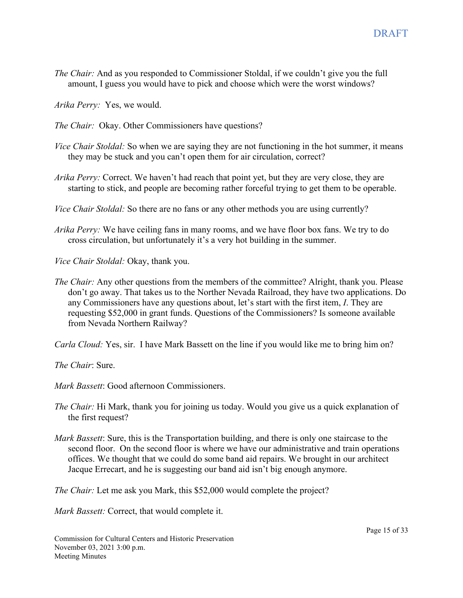*The Chair:* And as you responded to Commissioner Stoldal, if we couldn't give you the full amount, I guess you would have to pick and choose which were the worst windows?

*Arika Perry:* Yes, we would.

- *The Chair:* Okay. Other Commissioners have questions?
- *Vice Chair Stoldal:* So when we are saying they are not functioning in the hot summer, it means they may be stuck and you can't open them for air circulation, correct?
- *Arika Perry:* Correct. We haven't had reach that point yet, but they are very close, they are starting to stick, and people are becoming rather forceful trying to get them to be operable.
- *Vice Chair Stoldal:* So there are no fans or any other methods you are using currently?
- *Arika Perry:* We have ceiling fans in many rooms, and we have floor box fans. We try to do cross circulation, but unfortunately it's a very hot building in the summer.

*Vice Chair Stoldal:* Okay, thank you.

*The Chair:* Any other questions from the members of the committee? Alright, thank you. Please don't go away. That takes us to the Norther Nevada Railroad, they have two applications. Do any Commissioners have any questions about, let's start with the first item, *I*. They are requesting \$52,000 in grant funds. Questions of the Commissioners? Is someone available from Nevada Northern Railway?

*Carla Cloud:* Yes, sir. I have Mark Bassett on the line if you would like me to bring him on?

*The Chair*: Sure.

*Mark Bassett*: Good afternoon Commissioners.

- *The Chair:* Hi Mark, thank you for joining us today. Would you give us a quick explanation of the first request?
- *Mark Bassett*: Sure, this is the Transportation building, and there is only one staircase to the second floor. On the second floor is where we have our administrative and train operations offices. We thought that we could do some band aid repairs. We brought in our architect Jacque Errecart, and he is suggesting our band aid isn't big enough anymore.

*The Chair:* Let me ask you Mark, this \$52,000 would complete the project?

*Mark Bassett:* Correct, that would complete it.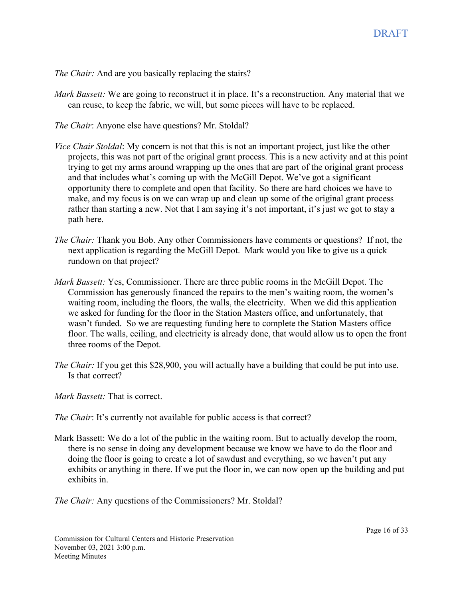*The Chair:* And are you basically replacing the stairs?

- *Mark Bassett:* We are going to reconstruct it in place. It's a reconstruction. Any material that we can reuse, to keep the fabric, we will, but some pieces will have to be replaced.
- *The Chair*: Anyone else have questions? Mr. Stoldal?
- *Vice Chair Stoldal*: My concern is not that this is not an important project, just like the other projects, this was not part of the original grant process. This is a new activity and at this point trying to get my arms around wrapping up the ones that are part of the original grant process and that includes what's coming up with the McGill Depot. We've got a significant opportunity there to complete and open that facility. So there are hard choices we have to make, and my focus is on we can wrap up and clean up some of the original grant process rather than starting a new. Not that I am saying it's not important, it's just we got to stay a path here.
- *The Chair:* Thank you Bob. Any other Commissioners have comments or questions? If not, the next application is regarding the McGill Depot. Mark would you like to give us a quick rundown on that project?
- *Mark Bassett:* Yes, Commissioner. There are three public rooms in the McGill Depot. The Commission has generously financed the repairs to the men's waiting room, the women's waiting room, including the floors, the walls, the electricity. When we did this application we asked for funding for the floor in the Station Masters office, and unfortunately, that wasn't funded. So we are requesting funding here to complete the Station Masters office floor. The walls, ceiling, and electricity is already done, that would allow us to open the front three rooms of the Depot.
- *The Chair:* If you get this \$28,900, you will actually have a building that could be put into use. Is that correct?

*Mark Bassett:* That is correct.

- *The Chair*: It's currently not available for public access is that correct?
- Mark Bassett: We do a lot of the public in the waiting room. But to actually develop the room, there is no sense in doing any development because we know we have to do the floor and doing the floor is going to create a lot of sawdust and everything, so we haven't put any exhibits or anything in there. If we put the floor in, we can now open up the building and put exhibits in.

*The Chair:* Any questions of the Commissioners? Mr. Stoldal?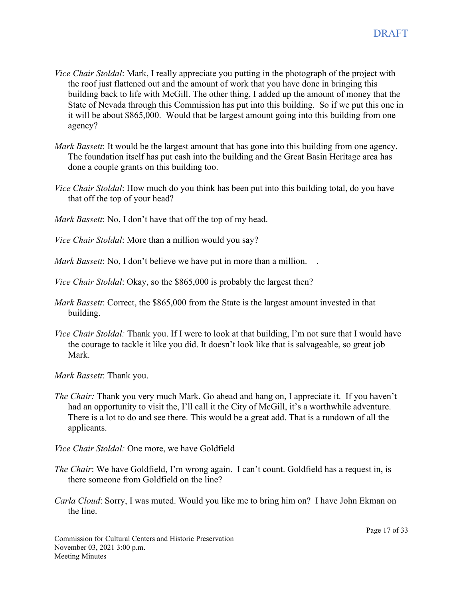- *Vice Chair Stoldal*: Mark, I really appreciate you putting in the photograph of the project with the roof just flattened out and the amount of work that you have done in bringing this building back to life with McGill. The other thing, I added up the amount of money that the State of Nevada through this Commission has put into this building. So if we put this one in it will be about \$865,000. Would that be largest amount going into this building from one agency?
- *Mark Bassett*: It would be the largest amount that has gone into this building from one agency. The foundation itself has put cash into the building and the Great Basin Heritage area has done a couple grants on this building too.
- *Vice Chair Stoldal*: How much do you think has been put into this building total, do you have that off the top of your head?

*Mark Bassett*: No, I don't have that off the top of my head.

*Vice Chair Stoldal*: More than a million would you say?

*Mark Bassett*: No, I don't believe we have put in more than a million. .

*Vice Chair Stoldal*: Okay, so the \$865,000 is probably the largest then?

- *Mark Bassett*: Correct, the \$865,000 from the State is the largest amount invested in that building.
- *Vice Chair Stoldal:* Thank you. If I were to look at that building, I'm not sure that I would have the courage to tackle it like you did. It doesn't look like that is salvageable, so great job Mark.

*Mark Bassett*: Thank you.

*The Chair:* Thank you very much Mark. Go ahead and hang on, I appreciate it. If you haven't had an opportunity to visit the, I'll call it the City of McGill, it's a worthwhile adventure. There is a lot to do and see there. This would be a great add. That is a rundown of all the applicants.

*Vice Chair Stoldal:* One more, we have Goldfield

- *The Chair*: We have Goldfield, I'm wrong again. I can't count. Goldfield has a request in, is there someone from Goldfield on the line?
- *Carla Cloud*: Sorry, I was muted. Would you like me to bring him on? I have John Ekman on the line.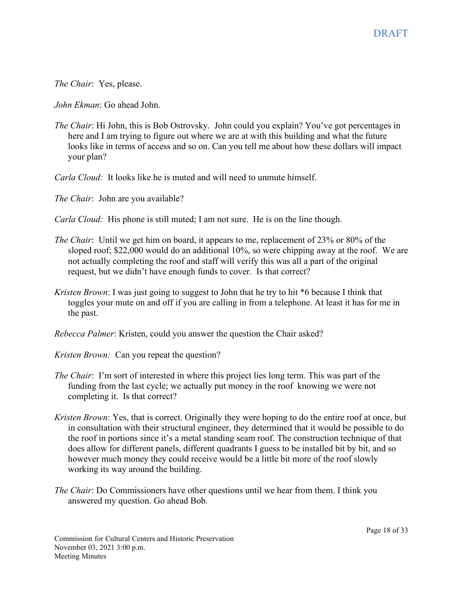*The Chair*: Yes, please.

*John Ekman*: Go ahead John.

- *The Chair*: Hi John, this is Bob Ostrovsky. John could you explain? You've got percentages in here and I am trying to figure out where we are at with this building and what the future looks like in terms of access and so on. Can you tell me about how these dollars will impact your plan?
- *Carla Cloud:* It looks like he is muted and will need to unmute himself.

*The Chair*: John are you available?

- *Carla Cloud:* His phone is still muted; I am not sure. He is on the line though.
- *The Chair*: Until we get him on board, it appears to me, replacement of 23% or 80% of the sloped roof; \$22,000 would do an additional 10%, so were chipping away at the roof. We are not actually completing the roof and staff will verify this was all a part of the original request, but we didn't have enough funds to cover. Is that correct?
- *Kristen Brown*: I was just going to suggest to John that he try to hit \*6 because I think that toggles your mute on and off if you are calling in from a telephone. At least it has for me in the past.

*Rebecca Palmer*: Kristen, could you answer the question the Chair asked?

- *Kristen Brown:* Can you repeat the question?
- *The Chair*: I'm sort of interested in where this project lies long term. This was part of the funding from the last cycle; we actually put money in the roof knowing we were not completing it. Is that correct?
- *Kristen Brown*: Yes, that is correct. Originally they were hoping to do the entire roof at once, but in consultation with their structural engineer, they determined that it would be possible to do the roof in portions since it's a metal standing seam roof. The construction technique of that does allow for different panels, different quadrants I guess to be installed bit by bit, and so however much money they could receive would be a little bit more of the roof slowly working its way around the building.
- *The Chair*: Do Commissioners have other questions until we hear from them. I think you answered my question. Go ahead Bob.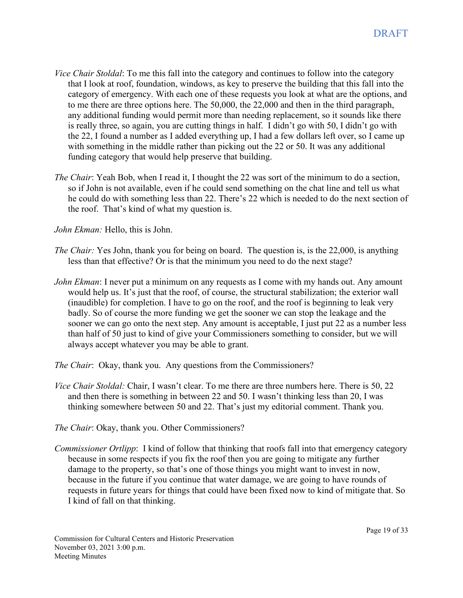- *Vice Chair Stoldal*: To me this fall into the category and continues to follow into the category that I look at roof, foundation, windows, as key to preserve the building that this fall into the category of emergency. With each one of these requests you look at what are the options, and to me there are three options here. The 50,000, the 22,000 and then in the third paragraph, any additional funding would permit more than needing replacement, so it sounds like there is really three, so again, you are cutting things in half. I didn't go with 50, I didn't go with the 22, I found a number as I added everything up, I had a few dollars left over, so I came up with something in the middle rather than picking out the 22 or 50. It was any additional funding category that would help preserve that building.
- *The Chair*: Yeah Bob, when I read it, I thought the 22 was sort of the minimum to do a section, so if John is not available, even if he could send something on the chat line and tell us what he could do with something less than 22. There's 22 which is needed to do the next section of the roof. That's kind of what my question is.

*John Ekman:* Hello, this is John.

- *The Chair:* Yes John, thank you for being on board. The question is, is the 22,000, is anything less than that effective? Or is that the minimum you need to do the next stage?
- *John Ekman*: I never put a minimum on any requests as I come with my hands out. Any amount would help us. It's just that the roof, of course, the structural stabilization; the exterior wall (inaudible) for completion. I have to go on the roof, and the roof is beginning to leak very badly. So of course the more funding we get the sooner we can stop the leakage and the sooner we can go onto the next step. Any amount is acceptable, I just put 22 as a number less than half of 50 just to kind of give your Commissioners something to consider, but we will always accept whatever you may be able to grant.
- *The Chair*: Okay, thank you. Any questions from the Commissioners?
- *Vice Chair Stoldal:* Chair, I wasn't clear. To me there are three numbers here. There is 50, 22 and then there is something in between 22 and 50. I wasn't thinking less than 20, I was thinking somewhere between 50 and 22. That's just my editorial comment. Thank you.
- *The Chair*: Okay, thank you. Other Commissioners?
- *Commissioner Ortlipp*: I kind of follow that thinking that roofs fall into that emergency category because in some respects if you fix the roof then you are going to mitigate any further damage to the property, so that's one of those things you might want to invest in now, because in the future if you continue that water damage, we are going to have rounds of requests in future years for things that could have been fixed now to kind of mitigate that. So I kind of fall on that thinking.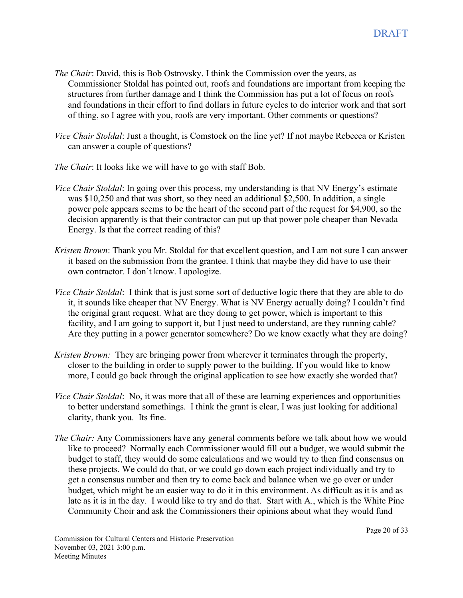- *The Chair*: David, this is Bob Ostrovsky. I think the Commission over the years, as Commissioner Stoldal has pointed out, roofs and foundations are important from keeping the structures from further damage and I think the Commission has put a lot of focus on roofs and foundations in their effort to find dollars in future cycles to do interior work and that sort of thing, so I agree with you, roofs are very important. Other comments or questions?
- *Vice Chair Stoldal*: Just a thought, is Comstock on the line yet? If not maybe Rebecca or Kristen can answer a couple of questions?
- *The Chair*: It looks like we will have to go with staff Bob.
- *Vice Chair Stoldal*: In going over this process, my understanding is that NV Energy's estimate was \$10,250 and that was short, so they need an additional \$2,500. In addition, a single power pole appears seems to be the heart of the second part of the request for \$4,900, so the decision apparently is that their contractor can put up that power pole cheaper than Nevada Energy. Is that the correct reading of this?
- *Kristen Brown*: Thank you Mr. Stoldal for that excellent question, and I am not sure I can answer it based on the submission from the grantee. I think that maybe they did have to use their own contractor. I don't know. I apologize.
- *Vice Chair Stoldal*: I think that is just some sort of deductive logic there that they are able to do it, it sounds like cheaper that NV Energy. What is NV Energy actually doing? I couldn't find the original grant request. What are they doing to get power, which is important to this facility, and I am going to support it, but I just need to understand, are they running cable? Are they putting in a power generator somewhere? Do we know exactly what they are doing?
- *Kristen Brown:* They are bringing power from wherever it terminates through the property, closer to the building in order to supply power to the building. If you would like to know more, I could go back through the original application to see how exactly she worded that?
- *Vice Chair Stoldal*: No, it was more that all of these are learning experiences and opportunities to better understand somethings. I think the grant is clear, I was just looking for additional clarity, thank you. Its fine.
- *The Chair:* Any Commissioners have any general comments before we talk about how we would like to proceed? Normally each Commissioner would fill out a budget, we would submit the budget to staff, they would do some calculations and we would try to then find consensus on these projects. We could do that, or we could go down each project individually and try to get a consensus number and then try to come back and balance when we go over or under budget, which might be an easier way to do it in this environment. As difficult as it is and as late as it is in the day. I would like to try and do that. Start with A., which is the White Pine Community Choir and ask the Commissioners their opinions about what they would fund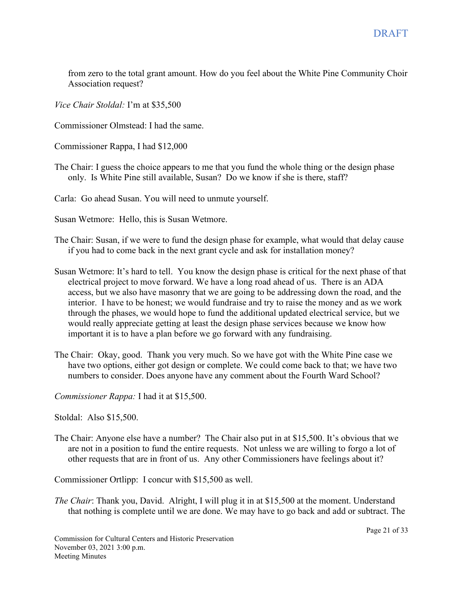from zero to the total grant amount. How do you feel about the White Pine Community Choir Association request?

*Vice Chair Stoldal:* I'm at \$35,500

Commissioner Olmstead: I had the same.

Commissioner Rappa, I had \$12,000

The Chair: I guess the choice appears to me that you fund the whole thing or the design phase only. Is White Pine still available, Susan? Do we know if she is there, staff?

Carla: Go ahead Susan. You will need to unmute yourself.

Susan Wetmore: Hello, this is Susan Wetmore.

- The Chair: Susan, if we were to fund the design phase for example, what would that delay cause if you had to come back in the next grant cycle and ask for installation money?
- Susan Wetmore: It's hard to tell. You know the design phase is critical for the next phase of that electrical project to move forward. We have a long road ahead of us. There is an ADA access, but we also have masonry that we are going to be addressing down the road, and the interior. I have to be honest; we would fundraise and try to raise the money and as we work through the phases, we would hope to fund the additional updated electrical service, but we would really appreciate getting at least the design phase services because we know how important it is to have a plan before we go forward with any fundraising.
- The Chair: Okay, good. Thank you very much. So we have got with the White Pine case we have two options, either got design or complete. We could come back to that; we have two numbers to consider. Does anyone have any comment about the Fourth Ward School?

*Commissioner Rappa:* I had it at \$15,500.

Stoldal: Also \$15,500.

The Chair: Anyone else have a number? The Chair also put in at \$15,500. It's obvious that we are not in a position to fund the entire requests. Not unless we are willing to forgo a lot of other requests that are in front of us. Any other Commissioners have feelings about it?

Commissioner Ortlipp: I concur with \$15,500 as well.

*The Chair*: Thank you, David. Alright, I will plug it in at \$15,500 at the moment. Understand that nothing is complete until we are done. We may have to go back and add or subtract. The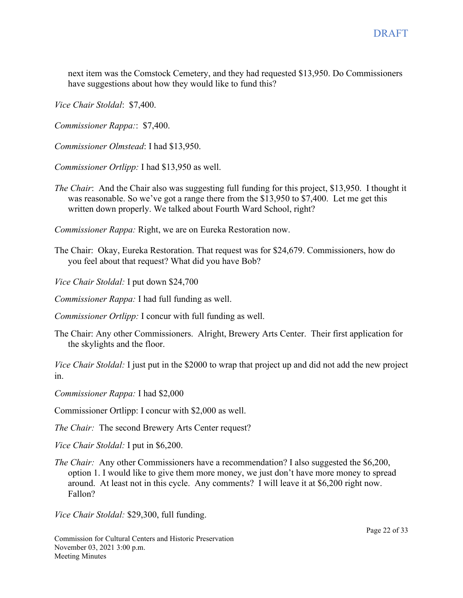next item was the Comstock Cemetery, and they had requested \$13,950. Do Commissioners have suggestions about how they would like to fund this?

*Vice Chair Stoldal*: \$7,400.

*Commissioner Rappa:*: \$7,400.

*Commissioner Olmstead*: I had \$13,950.

*Commissioner Ortlipp:* I had \$13,950 as well.

*The Chair*: And the Chair also was suggesting full funding for this project, \$13,950. I thought it was reasonable. So we've got a range there from the \$13,950 to \$7,400. Let me get this written down properly. We talked about Fourth Ward School, right?

*Commissioner Rappa:* Right, we are on Eureka Restoration now.

The Chair: Okay, Eureka Restoration. That request was for \$24,679. Commissioners, how do you feel about that request? What did you have Bob?

*Vice Chair Stoldal:* I put down \$24,700

*Commissioner Rappa:* I had full funding as well.

*Commissioner Ortlipp:* I concur with full funding as well.

The Chair: Any other Commissioners. Alright, Brewery Arts Center. Their first application for the skylights and the floor.

*Vice Chair Stoldal:* I just put in the \$2000 to wrap that project up and did not add the new project in.

*Commissioner Rappa:* I had \$2,000

Commissioner Ortlipp: I concur with \$2,000 as well.

*The Chair:* The second Brewery Arts Center request?

*Vice Chair Stoldal:* I put in \$6,200.

*The Chair:* Any other Commissioners have a recommendation? I also suggested the \$6,200, option 1. I would like to give them more money, we just don't have more money to spread around. At least not in this cycle. Any comments? I will leave it at \$6,200 right now. Fallon?

*Vice Chair Stoldal:* \$29,300, full funding.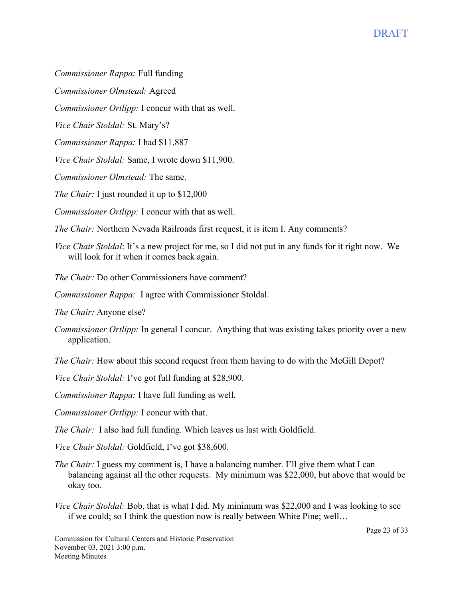*Commissioner Rappa:* Full funding

*Commissioner Olmstead:* Agreed

*Commissioner Ortlipp:* I concur with that as well.

*Vice Chair Stoldal:* St. Mary's?

*Commissioner Rappa:* I had \$11,887

*Vice Chair Stoldal:* Same, I wrote down \$11,900.

*Commissioner Olmstead:* The same.

*The Chair:* I just rounded it up to \$12,000

*Commissioner Ortlipp:* I concur with that as well.

*The Chair:* Northern Nevada Railroads first request, it is item I. Any comments?

*Vice Chair Stoldal*: It's a new project for me, so I did not put in any funds for it right now. We will look for it when it comes back again.

*The Chair:* Do other Commissioners have comment?

*Commissioner Rappa:* I agree with Commissioner Stoldal.

*The Chair:* Anyone else?

*Commissioner Ortlipp:* In general I concur. Anything that was existing takes priority over a new application.

*The Chair:* How about this second request from them having to do with the McGill Depot?

*Vice Chair Stoldal:* I've got full funding at \$28,900.

*Commissioner Rappa:* I have full funding as well.

*Commissioner Ortlipp:* I concur with that.

*The Chair:* I also had full funding. Which leaves us last with Goldfield.

*Vice Chair Stoldal:* Goldfield, I've got \$38,600.

- *The Chair:* I guess my comment is, I have a balancing number. I'll give them what I can balancing against all the other requests. My minimum was \$22,000, but above that would be okay too.
- *Vice Chair Stoldal:* Bob, that is what I did. My minimum was \$22,000 and I was looking to see if we could; so I think the question now is really between White Pine; well…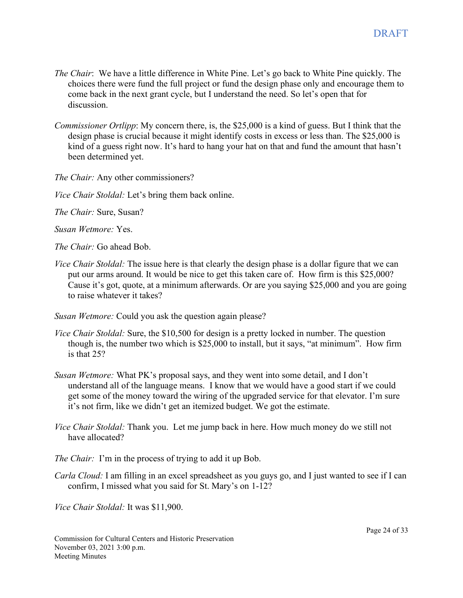- *The Chair*: We have a little difference in White Pine. Let's go back to White Pine quickly. The choices there were fund the full project or fund the design phase only and encourage them to come back in the next grant cycle, but I understand the need. So let's open that for discussion.
- *Commissioner Ortlipp*: My concern there, is, the \$25,000 is a kind of guess. But I think that the design phase is crucial because it might identify costs in excess or less than. The \$25,000 is kind of a guess right now. It's hard to hang your hat on that and fund the amount that hasn't been determined yet.

*The Chair:* Any other commissioners?

*Vice Chair Stoldal:* Let's bring them back online.

*The Chair:* Sure, Susan?

*Susan Wetmore:* Yes.

*The Chair:* Go ahead Bob.

*Vice Chair Stoldal:* The issue here is that clearly the design phase is a dollar figure that we can put our arms around. It would be nice to get this taken care of. How firm is this \$25,000? Cause it's got, quote, at a minimum afterwards. Or are you saying \$25,000 and you are going to raise whatever it takes?

*Susan Wetmore:* Could you ask the question again please?

- *Vice Chair Stoldal:* Sure, the \$10,500 for design is a pretty locked in number. The question though is, the number two which is \$25,000 to install, but it says, "at minimum". How firm is that 25?
- *Susan Wetmore:* What PK's proposal says, and they went into some detail, and I don't understand all of the language means. I know that we would have a good start if we could get some of the money toward the wiring of the upgraded service for that elevator. I'm sure it's not firm, like we didn't get an itemized budget. We got the estimate.
- *Vice Chair Stoldal:* Thank you. Let me jump back in here. How much money do we still not have allocated?
- *The Chair:* I'm in the process of trying to add it up Bob.
- *Carla Cloud:* I am filling in an excel spreadsheet as you guys go, and I just wanted to see if I can confirm, I missed what you said for St. Mary's on 1-12?

*Vice Chair Stoldal:* It was \$11,900.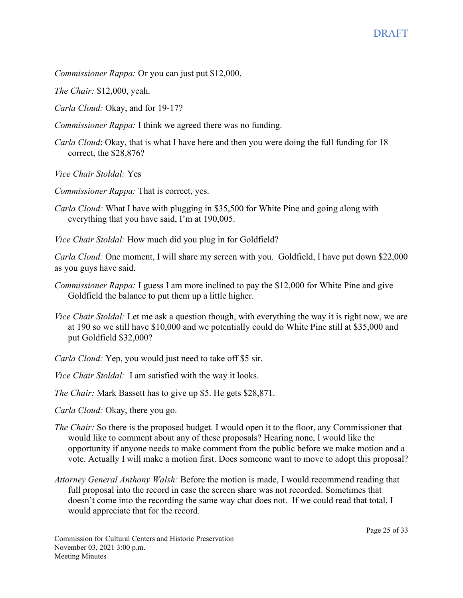*Commissioner Rappa:* Or you can just put \$12,000.

*The Chair:* \$12,000, yeah.

*Carla Cloud:* Okay, and for 19-17?

*Commissioner Rappa:* I think we agreed there was no funding.

*Carla Cloud*: Okay, that is what I have here and then you were doing the full funding for 18 correct, the \$28,876?

*Vice Chair Stoldal:* Yes

*Commissioner Rappa:* That is correct, yes.

*Carla Cloud:* What I have with plugging in \$35,500 for White Pine and going along with everything that you have said, I'm at 190,005.

*Vice Chair Stoldal:* How much did you plug in for Goldfield?

*Carla Cloud:* One moment, I will share my screen with you. Goldfield, I have put down \$22,000 as you guys have said.

- *Commissioner Rappa:* I guess I am more inclined to pay the \$12,000 for White Pine and give Goldfield the balance to put them up a little higher.
- *Vice Chair Stoldal:* Let me ask a question though, with everything the way it is right now, we are at 190 so we still have \$10,000 and we potentially could do White Pine still at \$35,000 and put Goldfield \$32,000?

*Carla Cloud:* Yep, you would just need to take off \$5 sir.

*Vice Chair Stoldal:* I am satisfied with the way it looks.

*The Chair:* Mark Bassett has to give up \$5. He gets \$28,871.

*Carla Cloud:* Okay, there you go.

- *The Chair:* So there is the proposed budget. I would open it to the floor, any Commissioner that would like to comment about any of these proposals? Hearing none, I would like the opportunity if anyone needs to make comment from the public before we make motion and a vote. Actually I will make a motion first. Does someone want to move to adopt this proposal?
- *Attorney General Anthony Walsh:* Before the motion is made, I would recommend reading that full proposal into the record in case the screen share was not recorded. Sometimes that doesn't come into the recording the same way chat does not. If we could read that total, I would appreciate that for the record.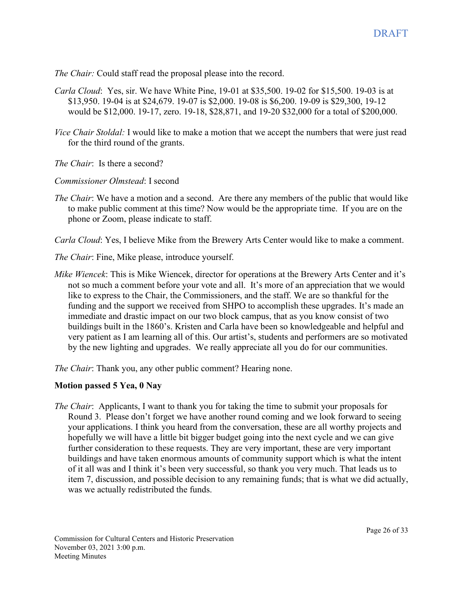*The Chair:* Could staff read the proposal please into the record.

- *Carla Cloud*: Yes, sir. We have White Pine, 19-01 at \$35,500. 19-02 for \$15,500. 19-03 is at \$13,950. 19-04 is at \$24,679. 19-07 is \$2,000. 19-08 is \$6,200. 19-09 is \$29,300, 19-12 would be \$12,000. 19-17, zero. 19-18, \$28,871, and 19-20 \$32,000 for a total of \$200,000.
- *Vice Chair Stoldal:* I would like to make a motion that we accept the numbers that were just read for the third round of the grants.

*The Chair*: Is there a second?

- *Commissioner Olmstead*: I second
- *The Chair*: We have a motion and a second. Are there any members of the public that would like to make public comment at this time? Now would be the appropriate time. If you are on the phone or Zoom, please indicate to staff.

*Carla Cloud*: Yes, I believe Mike from the Brewery Arts Center would like to make a comment.

*The Chair*: Fine, Mike please, introduce yourself.

*Mike Wiencek*: This is Mike Wiencek, director for operations at the Brewery Arts Center and it's not so much a comment before your vote and all. It's more of an appreciation that we would like to express to the Chair, the Commissioners, and the staff. We are so thankful for the funding and the support we received from SHPO to accomplish these upgrades. It's made an immediate and drastic impact on our two block campus, that as you know consist of two buildings built in the 1860's. Kristen and Carla have been so knowledgeable and helpful and very patient as I am learning all of this. Our artist's, students and performers are so motivated by the new lighting and upgrades. We really appreciate all you do for our communities.

*The Chair*: Thank you, any other public comment? Hearing none.

#### **Motion passed 5 Yea, 0 Nay**

*The Chair*: Applicants, I want to thank you for taking the time to submit your proposals for Round 3. Please don't forget we have another round coming and we look forward to seeing your applications. I think you heard from the conversation, these are all worthy projects and hopefully we will have a little bit bigger budget going into the next cycle and we can give further consideration to these requests. They are very important, these are very important buildings and have taken enormous amounts of community support which is what the intent of it all was and I think it's been very successful, so thank you very much. That leads us to item 7, discussion, and possible decision to any remaining funds; that is what we did actually, was we actually redistributed the funds.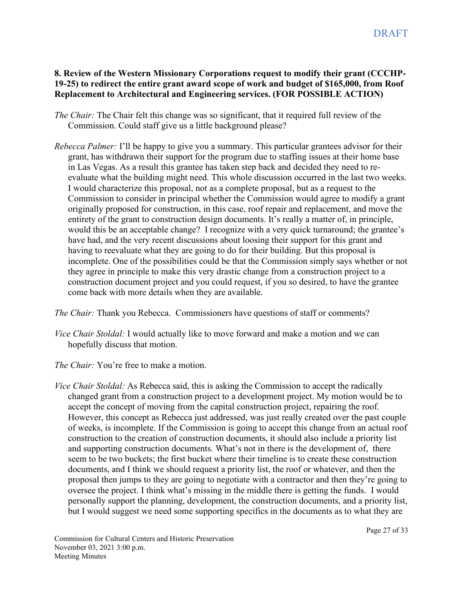# **8. Review of the Western Missionary Corporations request to modify their grant (CCCHP-19-25) to redirect the entire grant award scope of work and budget of \$165,000, from Roof Replacement to Architectural and Engineering services. (FOR POSSIBLE ACTION)**

- *The Chair:* The Chair felt this change was so significant, that it required full review of the Commission. Could staff give us a little background please?
- *Rebecca Palmer:* I'll be happy to give you a summary. This particular grantees advisor for their grant, has withdrawn their support for the program due to staffing issues at their home base in Las Vegas. As a result this grantee has taken step back and decided they need to reevaluate what the building might need. This whole discussion occurred in the last two weeks. I would characterize this proposal, not as a complete proposal, but as a request to the Commission to consider in principal whether the Commission would agree to modify a grant originally proposed for construction, in this case, roof repair and replacement, and move the entirety of the grant to construction design documents. It's really a matter of, in principle, would this be an acceptable change? I recognize with a very quick turnaround; the grantee's have had, and the very recent discussions about loosing their support for this grant and having to reevaluate what they are going to do for their building. But this proposal is incomplete. One of the possibilities could be that the Commission simply says whether or not they agree in principle to make this very drastic change from a construction project to a construction document project and you could request, if you so desired, to have the grantee come back with more details when they are available.

*The Chair:* Thank you Rebecca. Commissioners have questions of staff or comments?

*Vice Chair Stoldal:* I would actually like to move forward and make a motion and we can hopefully discuss that motion.

*The Chair:* You're free to make a motion.

*Vice Chair Stoldal:* As Rebecca said, this is asking the Commission to accept the radically changed grant from a construction project to a development project. My motion would be to accept the concept of moving from the capital construction project, repairing the roof. However, this concept as Rebecca just addressed, was just really created over the past couple of weeks, is incomplete. If the Commission is going to accept this change from an actual roof construction to the creation of construction documents, it should also include a priority list and supporting construction documents. What's not in there is the development of, there seem to be two buckets; the first bucket where their timeline is to create these construction documents, and I think we should request a priority list, the roof or whatever, and then the proposal then jumps to they are going to negotiate with a contractor and then they're going to oversee the project. I think what's missing in the middle there is getting the funds. I would personally support the planning, development, the construction documents, and a priority list, but I would suggest we need some supporting specifics in the documents as to what they are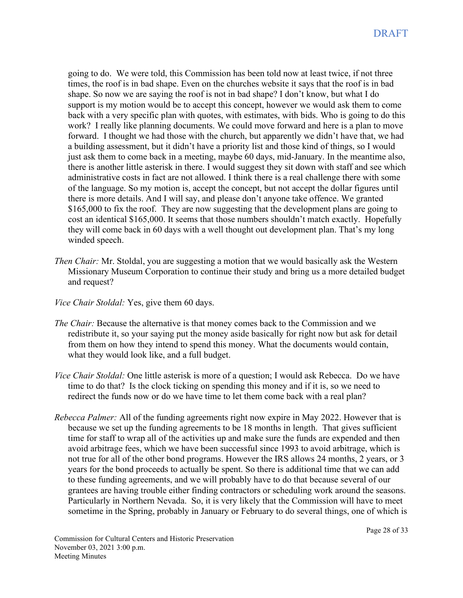going to do. We were told, this Commission has been told now at least twice, if not three times, the roof is in bad shape. Even on the churches website it says that the roof is in bad shape. So now we are saying the roof is not in bad shape? I don't know, but what I do support is my motion would be to accept this concept, however we would ask them to come back with a very specific plan with quotes, with estimates, with bids. Who is going to do this work? I really like planning documents. We could move forward and here is a plan to move forward. I thought we had those with the church, but apparently we didn't have that, we had a building assessment, but it didn't have a priority list and those kind of things, so I would just ask them to come back in a meeting, maybe 60 days, mid-January. In the meantime also, there is another little asterisk in there. I would suggest they sit down with staff and see which administrative costs in fact are not allowed. I think there is a real challenge there with some of the language. So my motion is, accept the concept, but not accept the dollar figures until there is more details. And I will say, and please don't anyone take offence. We granted \$165,000 to fix the roof. They are now suggesting that the development plans are going to cost an identical \$165,000. It seems that those numbers shouldn't match exactly. Hopefully they will come back in 60 days with a well thought out development plan. That's my long winded speech.

- *Then Chair:* Mr. Stoldal, you are suggesting a motion that we would basically ask the Western Missionary Museum Corporation to continue their study and bring us a more detailed budget and request?
- *Vice Chair Stoldal:* Yes, give them 60 days.
- *The Chair:* Because the alternative is that money comes back to the Commission and we redistribute it, so your saying put the money aside basically for right now but ask for detail from them on how they intend to spend this money. What the documents would contain, what they would look like, and a full budget.
- *Vice Chair Stoldal:* One little asterisk is more of a question; I would ask Rebecca. Do we have time to do that? Is the clock ticking on spending this money and if it is, so we need to redirect the funds now or do we have time to let them come back with a real plan?
- *Rebecca Palmer:* All of the funding agreements right now expire in May 2022. However that is because we set up the funding agreements to be 18 months in length. That gives sufficient time for staff to wrap all of the activities up and make sure the funds are expended and then avoid arbitrage fees, which we have been successful since 1993 to avoid arbitrage, which is not true for all of the other bond programs. However the IRS allows 24 months, 2 years, or 3 years for the bond proceeds to actually be spent. So there is additional time that we can add to these funding agreements, and we will probably have to do that because several of our grantees are having trouble either finding contractors or scheduling work around the seasons. Particularly in Northern Nevada. So, it is very likely that the Commission will have to meet sometime in the Spring, probably in January or February to do several things, one of which is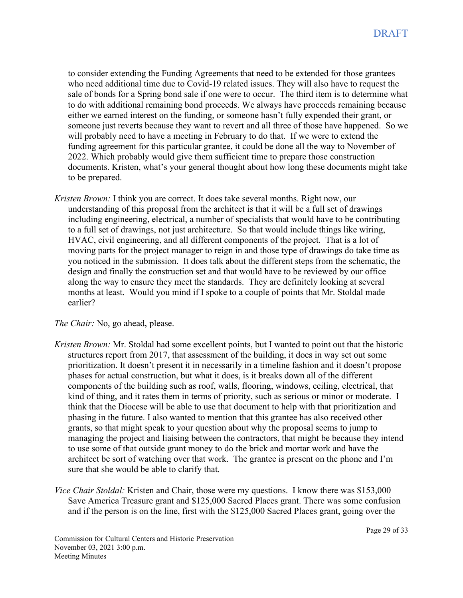to consider extending the Funding Agreements that need to be extended for those grantees who need additional time due to Covid-19 related issues. They will also have to request the sale of bonds for a Spring bond sale if one were to occur. The third item is to determine what to do with additional remaining bond proceeds. We always have proceeds remaining because either we earned interest on the funding, or someone hasn't fully expended their grant, or someone just reverts because they want to revert and all three of those have happened. So we will probably need to have a meeting in February to do that. If we were to extend the funding agreement for this particular grantee, it could be done all the way to November of 2022. Which probably would give them sufficient time to prepare those construction documents. Kristen, what's your general thought about how long these documents might take to be prepared.

*Kristen Brown:* I think you are correct. It does take several months. Right now, our understanding of this proposal from the architect is that it will be a full set of drawings including engineering, electrical, a number of specialists that would have to be contributing to a full set of drawings, not just architecture. So that would include things like wiring, HVAC, civil engineering, and all different components of the project. That is a lot of moving parts for the project manager to reign in and those type of drawings do take time as you noticed in the submission. It does talk about the different steps from the schematic, the design and finally the construction set and that would have to be reviewed by our office along the way to ensure they meet the standards. They are definitely looking at several months at least. Would you mind if I spoke to a couple of points that Mr. Stoldal made earlier?

*The Chair:* No, go ahead, please.

- *Kristen Brown:* Mr. Stoldal had some excellent points, but I wanted to point out that the historic structures report from 2017, that assessment of the building, it does in way set out some prioritization. It doesn't present it in necessarily in a timeline fashion and it doesn't propose phases for actual construction, but what it does, is it breaks down all of the different components of the building such as roof, walls, flooring, windows, ceiling, electrical, that kind of thing, and it rates them in terms of priority, such as serious or minor or moderate. I think that the Diocese will be able to use that document to help with that prioritization and phasing in the future. I also wanted to mention that this grantee has also received other grants, so that might speak to your question about why the proposal seems to jump to managing the project and liaising between the contractors, that might be because they intend to use some of that outside grant money to do the brick and mortar work and have the architect be sort of watching over that work. The grantee is present on the phone and I'm sure that she would be able to clarify that.
- *Vice Chair Stoldal:* Kristen and Chair, those were my questions. I know there was \$153,000 Save America Treasure grant and \$125,000 Sacred Places grant. There was some confusion and if the person is on the line, first with the \$125,000 Sacred Places grant, going over the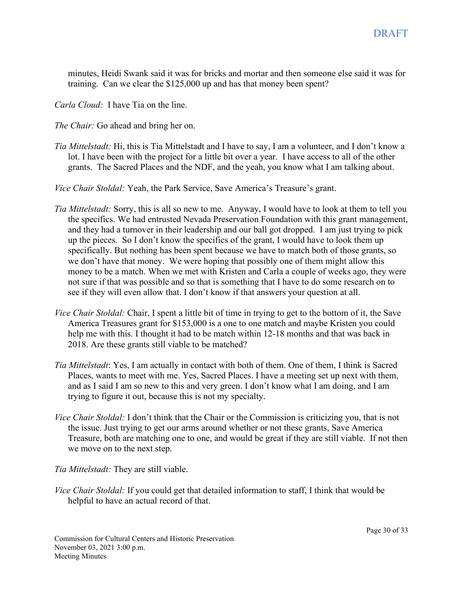minutes, Heidi Swank said it was for bricks and mortar and then someone else said it was for training. Can we clear the \$125,000 up and has that money been spent?

*Carla Cloud:* I have Tia on the line.

*The Chair:* Go ahead and bring her on.

*Tia Mittelstadt:* Hi, this is Tia Mittelstadt and I have to say, I am a volunteer, and I don't know a lot. I have been with the project for a little bit over a year. I have access to all of the other grants. The Sacred Places and the NDF, and the yeah, you know what I am talking about.

*Vice Chair Stoldal:* Yeah, the Park Service, Save America's Treasure's grant.

- *Tia Mittelstadt:* Sorry, this is all so new to me. Anyway, I would have to look at them to tell you the specifics. We had entrusted Nevada Preservation Foundation with this grant management, and they had a turnover in their leadership and our ball got dropped. I am just trying to pick up the pieces. So I don't know the specifics of the grant, I would have to look them up specifically. But nothing has been spent because we have to match both of those grants, so we don't have that money. We were hoping that possibly one of them might allow this money to be a match. When we met with Kristen and Carla a couple of weeks ago, they were not sure if that was possible and so that is something that I have to do some research on to see if they will even allow that. I don't know if that answers your question at all.
- *Vice Chair Stoldal:* Chair, I spent a little bit of time in trying to get to the bottom of it, the Save America Treasures grant for \$153,000 is a one to one match and maybe Kristen you could help me with this. I thought it had to be match within 12-18 months and that was back in 2018. Are these grants still viable to be matched?
- *Tia Mittelstadt*: Yes, I am actually in contact with both of them. One of them, I think is Sacred Places, wants to meet with me. Yes, Sacred Places. I have a meeting set up next with them, and as I said I am so new to this and very green. I don't know what I am doing, and I am trying to figure it out, because this is not my specialty.
- *Vice Chair Stoldal:* I don't think that the Chair or the Commission is criticizing you, that is not the issue. Just trying to get our arms around whether or not these grants, Save America Treasure, both are matching one to one, and would be great if they are still viable. If not then we move on to the next step.

*Tia Mittelstadt:* They are still viable.

*Vice Chair Stoldal:* If you could get that detailed information to staff, I think that would be helpful to have an actual record of that.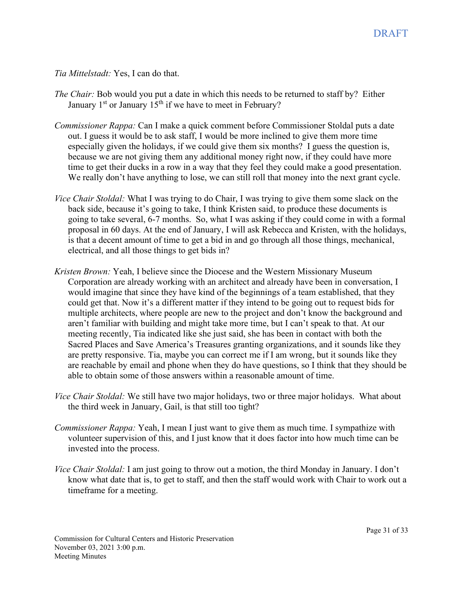*Tia Mittelstadt:* Yes, I can do that.

- *The Chair:* Bob would you put a date in which this needs to be returned to staff by? Either January  $1<sup>st</sup>$  or January  $15<sup>th</sup>$  if we have to meet in February?
- *Commissioner Rappa:* Can I make a quick comment before Commissioner Stoldal puts a date out. I guess it would be to ask staff, I would be more inclined to give them more time especially given the holidays, if we could give them six months? I guess the question is, because we are not giving them any additional money right now, if they could have more time to get their ducks in a row in a way that they feel they could make a good presentation. We really don't have anything to lose, we can still roll that money into the next grant cycle.
- *Vice Chair Stoldal:* What I was trying to do Chair, I was trying to give them some slack on the back side, because it's going to take, I think Kristen said, to produce these documents is going to take several, 6-7 months. So, what I was asking if they could come in with a formal proposal in 60 days. At the end of January, I will ask Rebecca and Kristen, with the holidays, is that a decent amount of time to get a bid in and go through all those things, mechanical, electrical, and all those things to get bids in?
- *Kristen Brown:* Yeah, I believe since the Diocese and the Western Missionary Museum Corporation are already working with an architect and already have been in conversation, I would imagine that since they have kind of the beginnings of a team established, that they could get that. Now it's a different matter if they intend to be going out to request bids for multiple architects, where people are new to the project and don't know the background and aren't familiar with building and might take more time, but I can't speak to that. At our meeting recently, Tia indicated like she just said, she has been in contact with both the Sacred Places and Save America's Treasures granting organizations, and it sounds like they are pretty responsive. Tia, maybe you can correct me if I am wrong, but it sounds like they are reachable by email and phone when they do have questions, so I think that they should be able to obtain some of those answers within a reasonable amount of time.
- *Vice Chair Stoldal:* We still have two major holidays, two or three major holidays. What about the third week in January, Gail, is that still too tight?
- *Commissioner Rappa:* Yeah, I mean I just want to give them as much time. I sympathize with volunteer supervision of this, and I just know that it does factor into how much time can be invested into the process.
- *Vice Chair Stoldal:* I am just going to throw out a motion, the third Monday in January. I don't know what date that is, to get to staff, and then the staff would work with Chair to work out a timeframe for a meeting.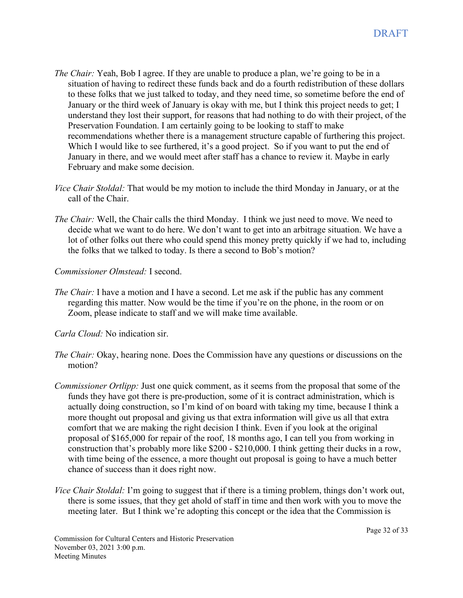- *The Chair:* Yeah, Bob I agree. If they are unable to produce a plan, we're going to be in a situation of having to redirect these funds back and do a fourth redistribution of these dollars to these folks that we just talked to today, and they need time, so sometime before the end of January or the third week of January is okay with me, but I think this project needs to get; I understand they lost their support, for reasons that had nothing to do with their project, of the Preservation Foundation. I am certainly going to be looking to staff to make recommendations whether there is a management structure capable of furthering this project. Which I would like to see furthered, it's a good project. So if you want to put the end of January in there, and we would meet after staff has a chance to review it. Maybe in early February and make some decision.
- *Vice Chair Stoldal:* That would be my motion to include the third Monday in January, or at the call of the Chair.
- *The Chair:* Well, the Chair calls the third Monday. I think we just need to move. We need to decide what we want to do here. We don't want to get into an arbitrage situation. We have a lot of other folks out there who could spend this money pretty quickly if we had to, including the folks that we talked to today. Is there a second to Bob's motion?
- *Commissioner Olmstead:* I second.
- *The Chair*: I have a motion and I have a second. Let me ask if the public has any comment regarding this matter. Now would be the time if you're on the phone, in the room or on Zoom, please indicate to staff and we will make time available.
- *Carla Cloud:* No indication sir.
- *The Chair:* Okay, hearing none. Does the Commission have any questions or discussions on the motion?
- *Commissioner Ortlipp:* Just one quick comment, as it seems from the proposal that some of the funds they have got there is pre-production, some of it is contract administration, which is actually doing construction, so I'm kind of on board with taking my time, because I think a more thought out proposal and giving us that extra information will give us all that extra comfort that we are making the right decision I think. Even if you look at the original proposal of \$165,000 for repair of the roof, 18 months ago, I can tell you from working in construction that's probably more like \$200 - \$210,000. I think getting their ducks in a row, with time being of the essence, a more thought out proposal is going to have a much better chance of success than it does right now.
- *Vice Chair Stoldal:* I'm going to suggest that if there is a timing problem, things don't work out, there is some issues, that they get ahold of staff in time and then work with you to move the meeting later. But I think we're adopting this concept or the idea that the Commission is